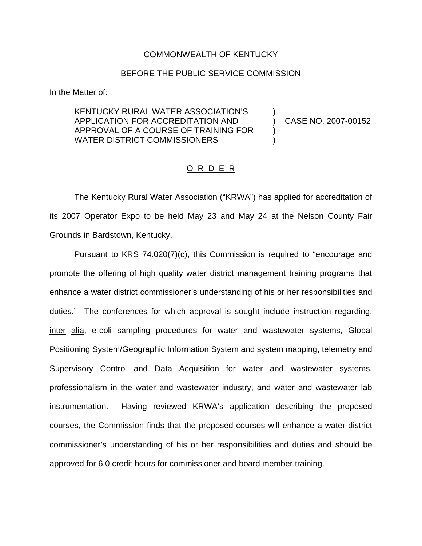## COMMONWEALTH OF KENTUCKY

## BEFORE THE PUBLIC SERVICE COMMISSION

In the Matter of:

KENTUCKY RURAL WATER ASSOCIATION'S ) APPLICATION FOR ACCREDITATION AND ) CASE NO. 2007-00152 APPROVAL OF A COURSE OF TRAINING FOR ) WATER DISTRICT COMMISSIONERS

## O R D E R

The Kentucky Rural Water Association ("KRWA") has applied for accreditation of its 2007 Operator Expo to be held May 23 and May 24 at the Nelson County Fair Grounds in Bardstown, Kentucky.

Pursuant to KRS 74.020(7)(c), this Commission is required to "encourage and promote the offering of high quality water district management training programs that enhance a water district commissioner's understanding of his or her responsibilities and duties." The conferences for which approval is sought include instruction regarding, inter alia, e-coli sampling procedures for water and wastewater systems, Global Positioning System/Geographic Information System and system mapping, telemetry and Supervisory Control and Data Acquisition for water and wastewater systems, professionalism in the water and wastewater industry, and water and wastewater lab instrumentation. Having reviewed KRWA's application describing the proposed courses, the Commission finds that the proposed courses will enhance a water district commissioner's understanding of his or her responsibilities and duties and should be approved for 6.0 credit hours for commissioner and board member training.